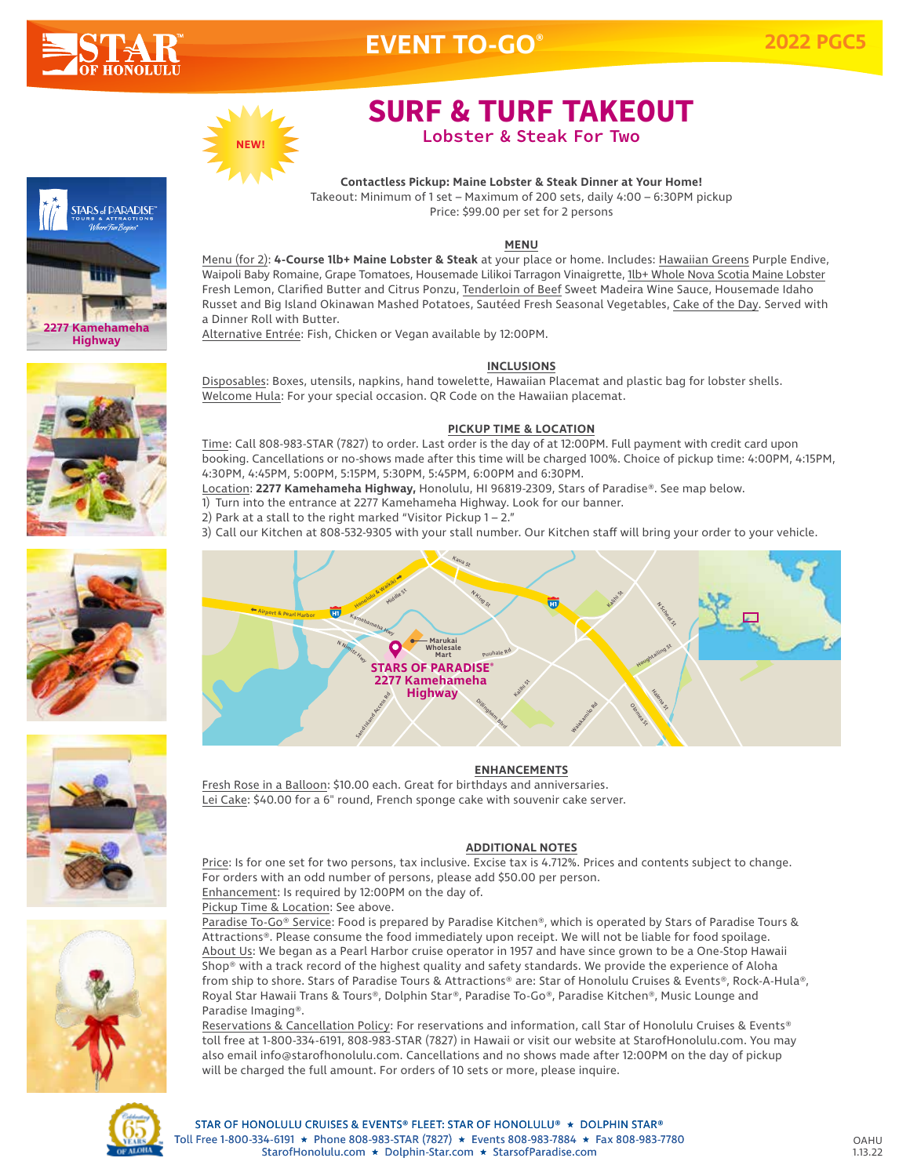

**STARS of DARADISE** 

**2277 Kamehameha Highway**

# **EVENT TO-GO®**



# **SURF & TURF TAKEOUT**

**Lobster** & **Steak For Two** 

**Contactless Pickup: Maine Lobster & Steak Dinner at Your Home!** Takeout: Minimum of 1 set – Maximum of 200 sets, daily 4:00 – 6:30PM pickup Price: \$99.00 per set for 2 persons

### **MENU**

Menu (for 2): **4-Course 1lb+ Maine Lobster & Steak** at your place or home. Includes: Hawaiian Greens Purple Endive, Waipoli Baby Romaine, Grape Tomatoes, Housemade Lilikoi Tarragon Vinaigrette, 1lb+ Whole Nova Scotia Maine Lobster Fresh Lemon, Clarified Butter and Citrus Ponzu, Tenderloin of Beef Sweet Madeira Wine Sauce, Housemade Idaho Russet and Big Island Okinawan Mashed Potatoes, Sautéed Fresh Seasonal Vegetables, Cake of the Day. Served with a Dinner Roll with Butter.

Alternative Entrée: Fish, Chicken or Vegan available by 12:00PM.

### **INCLUSIONS**

Disposables: Boxes, utensils, napkins, hand towelette, Hawaiian Placemat and plastic bag for lobster shells. Welcome Hula: For your special occasion. QR Code on the Hawaiian placemat.

### **PICKUP TIME & LOCATION**

Time: Call 808-983-STAR (7827) to order. Last order is the day of at 12:00PM. Full payment with credit card upon booking. Cancellations or no-shows made after this time will be charged 100%. Choice of pickup time: 4:00PM, 4:15PM, 4:30PM, 4:45PM, 5:00PM, 5:15PM, 5:30PM, 5:45PM, 6:00PM and 6:30PM.

Location: **2277 Kamehameha Highway,** Honolulu, HI 96819-2309, Stars of Paradise®. See map below.

1) Turn into the entrance at 2277 Kamehameha Highway. Look for our banner.

2) Park at a stall to the right marked "Visitor Pickup  $1 - 2$ ."

3) Call our Kitchen at 808-532-9305 with your stall number. Our Kitchen staff will bring your order to your vehicle.



### **ENHANCEMENTS**

<u>ENTIFINCERTING</u><br>Fresh Rose in a Balloon: \$10.00 each. Great for birthdays and anniversaries. <u>Lei Cake</u>: \$40.00 for a 6" round, French sponge cake with souvenir cake server.

## N Nimitz **ADDITIONAL NOTES**

Price: Is for one set for two persons, tax inclusive. Excise tax is 4.712%. Prices and contents subject to change. For orders with an odd number of persons, please add \$50.00 per person. Enhancement: Is required by 12:00PM on the day of.

### Pickup Time & Location: See above.

Paradise To-Go® Service: Food is prepared by Paradise Kitchen®, which is operated by Stars of Paradise Tours & Attractions®. Please consume the food immediately upon receipt. We will not be liable for food spoilage. About Us: We began as a Pearl Harbor cruise operator in 1957 and have since grown to be a One-Stop Hawaii Shop® with a track record of the highest quality and safety standards. We provide the experience of Aloha from ship to shore. Stars of Paradise Tours & Attractions® are: Star of Honolulu Cruises & Events®, Rock-A-Hula®, Royal Star Hawaii Trans & Tours®, Dolphin Star®, Paradise To-Go®, Paradise Kitchen®, Music Lounge and Paradise Imaging®.

Reservations & Cancellation Policy: For reservations and information, call Star of Honolulu Cruises & Events® toll free at 1-800-334-6191, 808-983-STAR (7827) in Hawaii or visit our website at StarofHonolulu.com. You may also email info@starofhonolulu.com. Cancellations and no shows made after 12:00PM on the day of pickup will be charged the full amount. For orders of 10 sets or more, please inquire.